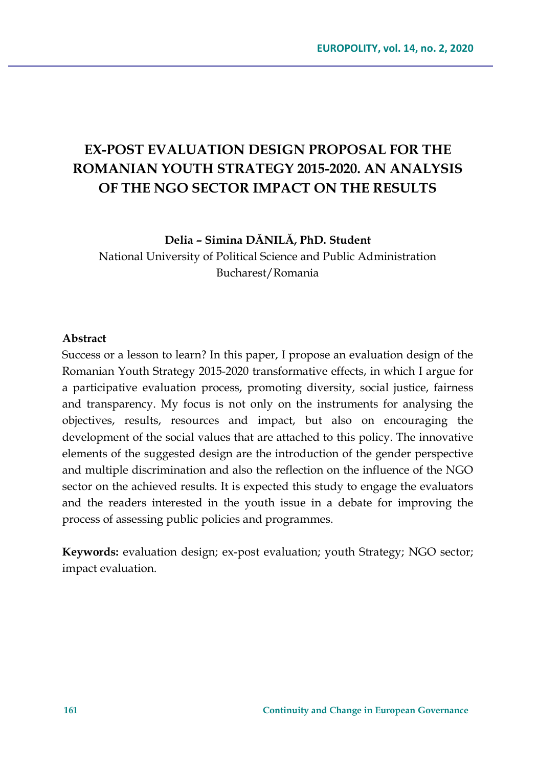# **EX-POST EVALUATION DESIGN PROPOSAL FOR THE ROMANIAN YOUTH STRATEGY 2015-2020. AN ANALYSIS OF THE NGO SECTOR IMPACT ON THE RESULTS**

**Delia – Simina DĂNILĂ, PhD. Student**

National University of Political Science and Public Administration Bucharest/Romania

#### **Abstract**

Success or a lesson to learn? In this paper, I propose an evaluation design of the Romanian Youth Strategy 2015-2020 transformative effects, in which I argue for a participative evaluation process, promoting diversity, social justice, fairness and transparency. My focus is not only on the instruments for analysing the objectives, results, resources and impact, but also on encouraging the development of the social values that are attached to this policy. The innovative elements of the suggested design are the introduction of the gender perspective and multiple discrimination and also the reflection on the influence of the NGO sector on the achieved results. It is expected this study to engage the evaluators and the readers interested in the youth issue in a debate for improving the process of assessing public policies and programmes.

**Keywords:** evaluation design; ex-post evaluation; youth Strategy; NGO sector; impact evaluation.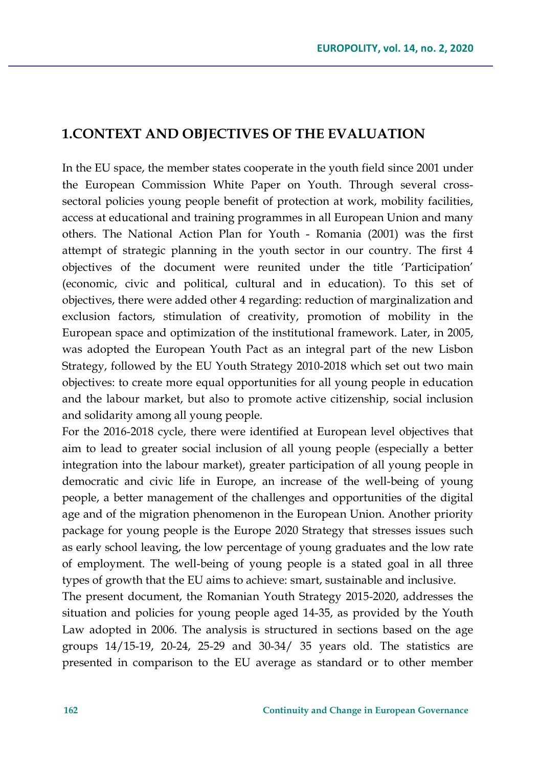## **1.CONTEXT AND OBJECTIVES OF THE EVALUATION**

In the EU space, the member states cooperate in the youth field since 2001 under the European Commission White Paper on Youth. Through several crosssectoral policies young people benefit of protection at work, mobility facilities, access at educational and training programmes in all European Union and many others. The National Action Plan for Youth - Romania (2001) was the first attempt of strategic planning in the youth sector in our country. The first 4 objectives of the document were reunited under the title 'Participation' (economic, civic and political, cultural and in education). To this set of objectives, there were added other 4 regarding: reduction of marginalization and exclusion factors, stimulation of creativity, promotion of mobility in the European space and optimization of the institutional framework. Later, in 2005, was adopted the European Youth Pact as an integral part of the new Lisbon Strategy, followed by the EU Youth Strategy 2010-2018 which set out two main objectives: to create more equal opportunities for all young people in education and the labour market, but also to promote active citizenship, social inclusion and solidarity among all young people.

For the 2016-2018 cycle, there were identified at European level objectives that aim to lead to greater social inclusion of all young people (especially a better integration into the labour market), greater participation of all young people in democratic and civic life in Europe, an increase of the well-being of young people, a better management of the challenges and opportunities of the digital age and of the migration phenomenon in the European Union. Another priority package for young people is the Europe 2020 Strategy that stresses issues such as early school leaving, the low percentage of young graduates and the low rate of employment. The well-being of young people is a stated goal in all three types of growth that the EU aims to achieve: smart, sustainable and inclusive.

The present document, the Romanian Youth Strategy 2015-2020, addresses the situation and policies for young people aged 14-35, as provided by the Youth Law adopted in 2006. The analysis is structured in sections based on the age groups 14/15-19, 20-24, 25-29 and 30-34/ 35 years old. The statistics are presented in comparison to the EU average as standard or to other member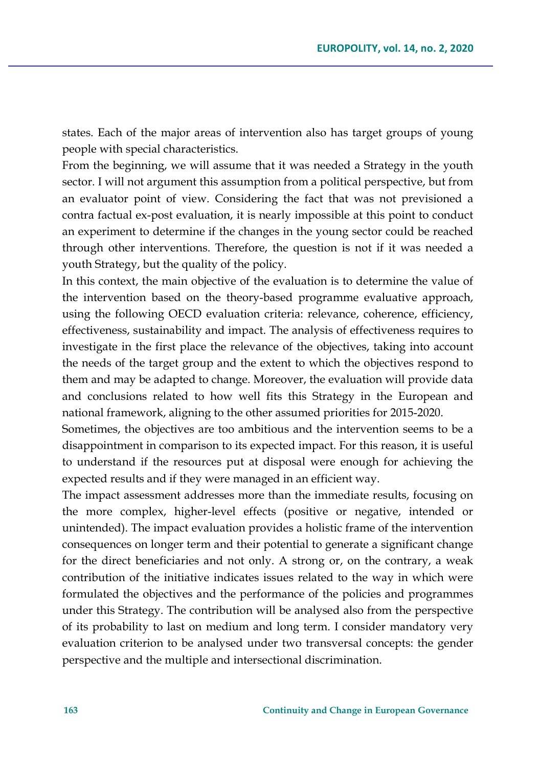states. Each of the major areas of intervention also has target groups of young people with special characteristics.

From the beginning, we will assume that it was needed a Strategy in the youth sector. I will not argument this assumption from a political perspective, but from an evaluator point of view. Considering the fact that was not previsioned a contra factual ex-post evaluation, it is nearly impossible at this point to conduct an experiment to determine if the changes in the young sector could be reached through other interventions. Therefore, the question is not if it was needed a youth Strategy, but the quality of the policy.

In this context, the main objective of the evaluation is to determine the value of the intervention based on the theory-based programme evaluative approach, using the following OECD evaluation criteria: relevance, coherence, efficiency, effectiveness, sustainability and impact. The analysis of effectiveness requires to investigate in the first place the relevance of the objectives, taking into account the needs of the target group and the extent to which the objectives respond to them and may be adapted to change. Moreover, the evaluation will provide data and conclusions related to how well fits this Strategy in the European and national framework, aligning to the other assumed priorities for 2015-2020.

Sometimes, the objectives are too ambitious and the intervention seems to be a disappointment in comparison to its expected impact. For this reason, it is useful to understand if the resources put at disposal were enough for achieving the expected results and if they were managed in an efficient way.

The impact assessment addresses more than the immediate results, focusing on the more complex, higher-level effects (positive or negative, intended or unintended). The impact evaluation provides a holistic frame of the intervention consequences on longer term and their potential to generate a significant change for the direct beneficiaries and not only. A strong or, on the contrary, a weak contribution of the initiative indicates issues related to the way in which were formulated the objectives and the performance of the policies and programmes under this Strategy. The contribution will be analysed also from the perspective of its probability to last on medium and long term. I consider mandatory very evaluation criterion to be analysed under two transversal concepts: the gender perspective and the multiple and intersectional discrimination.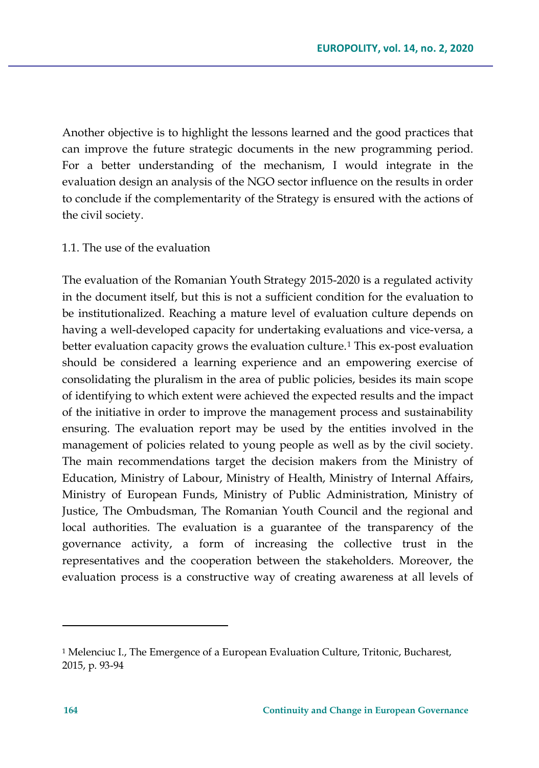Another objective is to highlight the lessons learned and the good practices that can improve the future strategic documents in the new programming period. For a better understanding of the mechanism, I would integrate in the evaluation design an analysis of the NGO sector influence on the results in order to conclude if the complementarity of the Strategy is ensured with the actions of the civil society.

### 1.1. The use of the evaluation

The evaluation of the Romanian Youth Strategy 2015-2020 is a regulated activity in the document itself, but this is not a sufficient condition for the evaluation to be institutionalized. Reaching a mature level of evaluation culture depends on having a well-developed capacity for undertaking evaluations and vice-versa, a better evaluation capacity grows the evaluation culture.<sup>[1](#page-3-0)</sup> This ex-post evaluation should be considered a learning experience and an empowering exercise of consolidating the pluralism in the area of public policies, besides its main scope of identifying to which extent were achieved the expected results and the impact of the initiative in order to improve the management process and sustainability ensuring. The evaluation report may be used by the entities involved in the management of policies related to young people as well as by the civil society. The main recommendations target the decision makers from the Ministry of Education, Ministry of Labour, Ministry of Health, Ministry of Internal Affairs, Ministry of European Funds, Ministry of Public Administration, Ministry of Justice, The Ombudsman, The Romanian Youth Council and the regional and local authorities. The evaluation is a guarantee of the transparency of the governance activity, a form of increasing the collective trust in the representatives and the cooperation between the stakeholders. Moreover, the evaluation process is a constructive way of creating awareness at all levels of

<span id="page-3-0"></span><sup>1</sup> Melenciuc I., The Emergence of a European Evaluation Culture, Tritonic, Bucharest, 2015, p. 93-94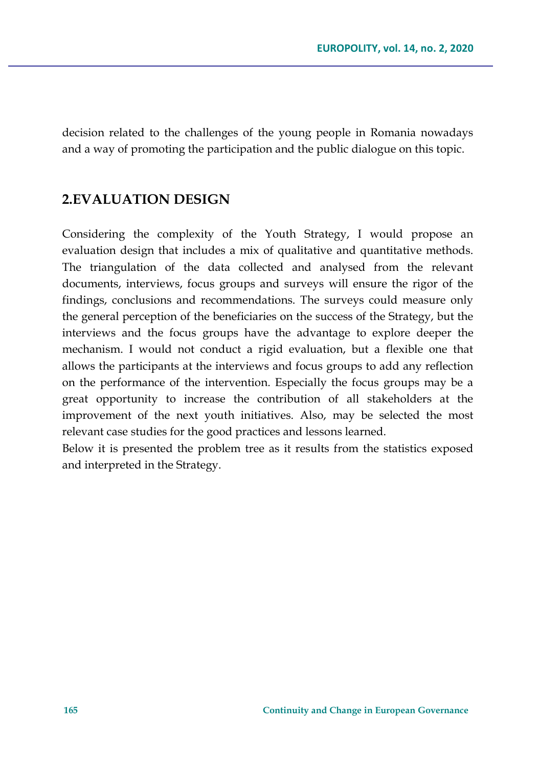decision related to the challenges of the young people in Romania nowadays and a way of promoting the participation and the public dialogue on this topic.

# **2.EVALUATION DESIGN**

Considering the complexity of the Youth Strategy, I would propose an evaluation design that includes a mix of qualitative and quantitative methods. The triangulation of the data collected and analysed from the relevant documents, interviews, focus groups and surveys will ensure the rigor of the findings, conclusions and recommendations. The surveys could measure only the general perception of the beneficiaries on the success of the Strategy, but the interviews and the focus groups have the advantage to explore deeper the mechanism. I would not conduct a rigid evaluation, but a flexible one that allows the participants at the interviews and focus groups to add any reflection on the performance of the intervention. Especially the focus groups may be a great opportunity to increase the contribution of all stakeholders at the improvement of the next youth initiatives. Also, may be selected the most relevant case studies for the good practices and lessons learned.

Below it is presented the problem tree as it results from the statistics exposed and interpreted in the Strategy.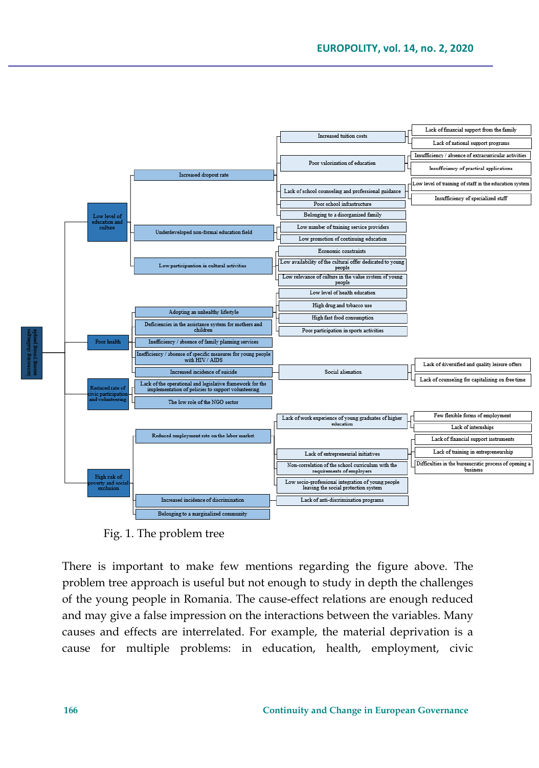

Fig. 1. The problem tree

There is important to make few mentions regarding the figure above. The problem tree approach is useful but not enough to study in depth the challenges of the young people in Romania. The cause-effect relations are enough reduced and may give a false impression on the interactions between the variables. Many causes and effects are interrelated. For example, the material deprivation is a cause for multiple problems: in education, health, employment, civic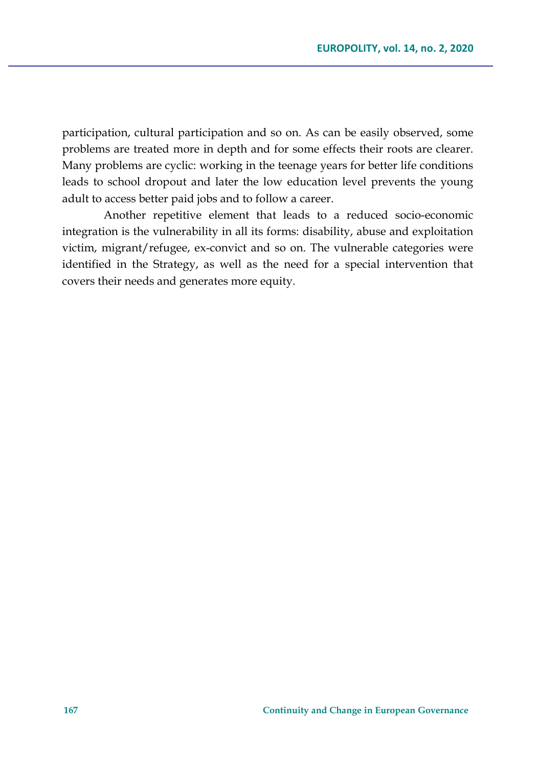participation, cultural participation and so on. As can be easily observed, some problems are treated more in depth and for some effects their roots are clearer. Many problems are cyclic: working in the teenage years for better life conditions leads to school dropout and later the low education level prevents the young adult to access better paid jobs and to follow a career.

Another repetitive element that leads to a reduced socio-economic integration is the vulnerability in all its forms: disability, abuse and exploitation victim, migrant/refugee, ex-convict and so on. The vulnerable categories were identified in the Strategy, as well as the need for a special intervention that covers their needs and generates more equity.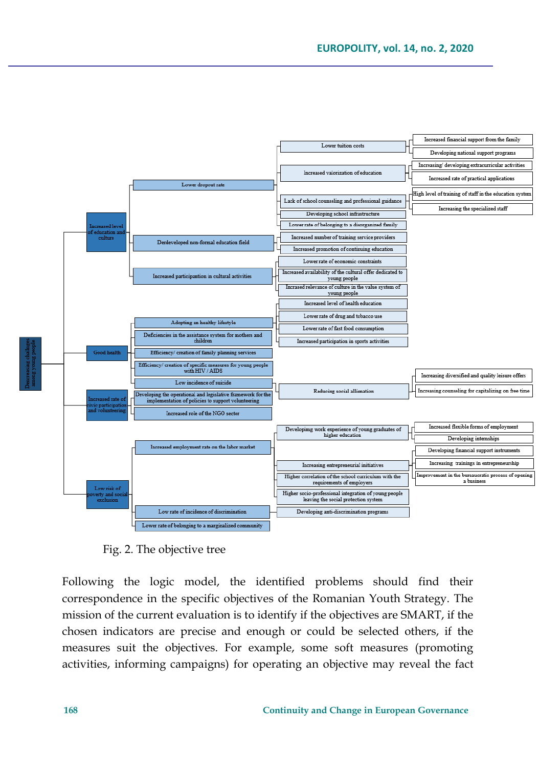

Fig. 2. The objective tree

Following the logic model, the identified problems should find their correspondence in the specific objectives of the Romanian Youth Strategy. The mission of the current evaluation is to identify if the objectives are SMART, if the chosen indicators are precise and enough or could be selected others, if the measures suit the objectives. For example, some soft measures (promoting activities, informing campaigns) for operating an objective may reveal the fact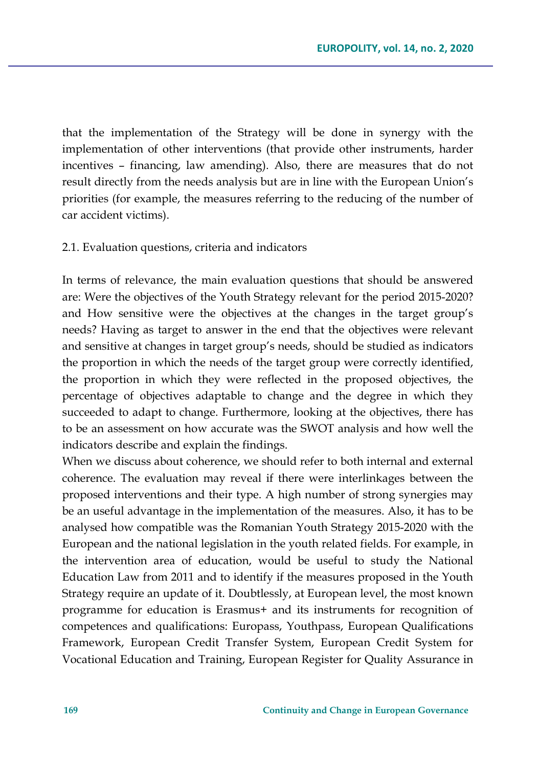that the implementation of the Strategy will be done in synergy with the implementation of other interventions (that provide other instruments, harder incentives – financing, law amending). Also, there are measures that do not result directly from the needs analysis but are in line with the European Union's priorities (for example, the measures referring to the reducing of the number of car accident victims).

#### 2.1. Evaluation questions, criteria and indicators

In terms of relevance, the main evaluation questions that should be answered are: Were the objectives of the Youth Strategy relevant for the period 2015-2020? and How sensitive were the objectives at the changes in the target group's needs? Having as target to answer in the end that the objectives were relevant and sensitive at changes in target group's needs, should be studied as indicators the proportion in which the needs of the target group were correctly identified, the proportion in which they were reflected in the proposed objectives, the percentage of objectives adaptable to change and the degree in which they succeeded to adapt to change. Furthermore, looking at the objectives, there has to be an assessment on how accurate was the SWOT analysis and how well the indicators describe and explain the findings.

When we discuss about coherence, we should refer to both internal and external coherence. The evaluation may reveal if there were interlinkages between the proposed interventions and their type. A high number of strong synergies may be an useful advantage in the implementation of the measures. Also, it has to be analysed how compatible was the Romanian Youth Strategy 2015-2020 with the European and the national legislation in the youth related fields. For example, in the intervention area of education, would be useful to study the National Education Law from 2011 and to identify if the measures proposed in the Youth Strategy require an update of it. Doubtlessly, at European level, the most known programme for education is Erasmus+ and its instruments for recognition of competences and qualifications: Europass, Youthpass, European Qualifications Framework, European Credit Transfer System, European Credit System for Vocational Education and Training, European Register for Quality Assurance in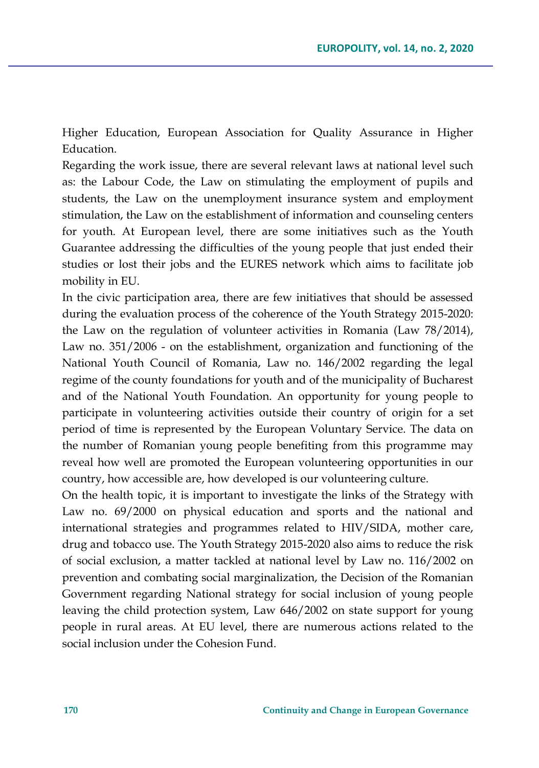Higher Education, European Association for Quality Assurance in Higher Education.

Regarding the work issue, there are several relevant laws at national level such as: the Labour Code, the Law on stimulating the employment of pupils and students, the Law on the unemployment insurance system and employment stimulation, the Law on the establishment of information and counseling centers for youth. At European level, there are some initiatives such as the Youth Guarantee addressing the difficulties of the young people that just ended their studies or lost their jobs and the EURES network which aims to facilitate job mobility in EU.

In the civic participation area, there are few initiatives that should be assessed during the evaluation process of the coherence of the Youth Strategy 2015-2020: the Law on the regulation of volunteer activities in Romania (Law 78/2014), Law no. 351/2006 - on the establishment, organization and functioning of the National Youth Council of Romania, Law no. 146/2002 regarding the legal regime of the county foundations for youth and of the municipality of Bucharest and of the National Youth Foundation. An opportunity for young people to participate in volunteering activities outside their country of origin for a set period of time is represented by the European Voluntary Service. The data on the number of Romanian young people benefiting from this programme may reveal how well are promoted the European volunteering opportunities in our country, how accessible are, how developed is our volunteering culture.

On the health topic, it is important to investigate the links of the Strategy with Law no. 69/2000 on physical education and sports and the national and international strategies and programmes related to HIV/SIDA, mother care, drug and tobacco use. The Youth Strategy 2015-2020 also aims to reduce the risk of social exclusion, a matter tackled at national level by Law no. 116/2002 on prevention and combating social marginalization, the Decision of the Romanian Government regarding National strategy for social inclusion of young people leaving the child protection system, Law 646/2002 on state support for young people in rural areas. At EU level, there are numerous actions related to the social inclusion under the Cohesion Fund.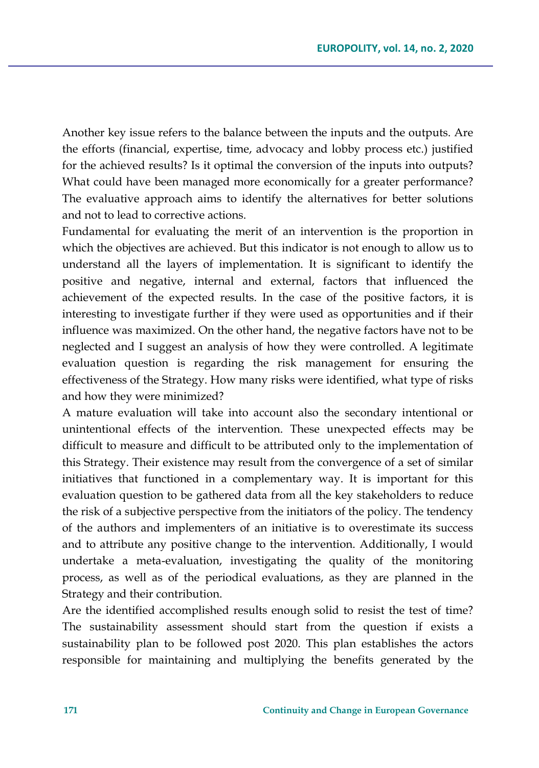Another key issue refers to the balance between the inputs and the outputs. Are the efforts (financial, expertise, time, advocacy and lobby process etc.) justified for the achieved results? Is it optimal the conversion of the inputs into outputs? What could have been managed more economically for a greater performance? The evaluative approach aims to identify the alternatives for better solutions and not to lead to corrective actions.

Fundamental for evaluating the merit of an intervention is the proportion in which the objectives are achieved. But this indicator is not enough to allow us to understand all the layers of implementation. It is significant to identify the positive and negative, internal and external, factors that influenced the achievement of the expected results. In the case of the positive factors, it is interesting to investigate further if they were used as opportunities and if their influence was maximized. On the other hand, the negative factors have not to be neglected and I suggest an analysis of how they were controlled. A legitimate evaluation question is regarding the risk management for ensuring the effectiveness of the Strategy. How many risks were identified, what type of risks and how they were minimized?

A mature evaluation will take into account also the secondary intentional or unintentional effects of the intervention. These unexpected effects may be difficult to measure and difficult to be attributed only to the implementation of this Strategy. Their existence may result from the convergence of a set of similar initiatives that functioned in a complementary way. It is important for this evaluation question to be gathered data from all the key stakeholders to reduce the risk of a subjective perspective from the initiators of the policy. The tendency of the authors and implementers of an initiative is to overestimate its success and to attribute any positive change to the intervention. Additionally, I would undertake a meta-evaluation, investigating the quality of the monitoring process, as well as of the periodical evaluations, as they are planned in the Strategy and their contribution.

Are the identified accomplished results enough solid to resist the test of time? The sustainability assessment should start from the question if exists a sustainability plan to be followed post 2020. This plan establishes the actors responsible for maintaining and multiplying the benefits generated by the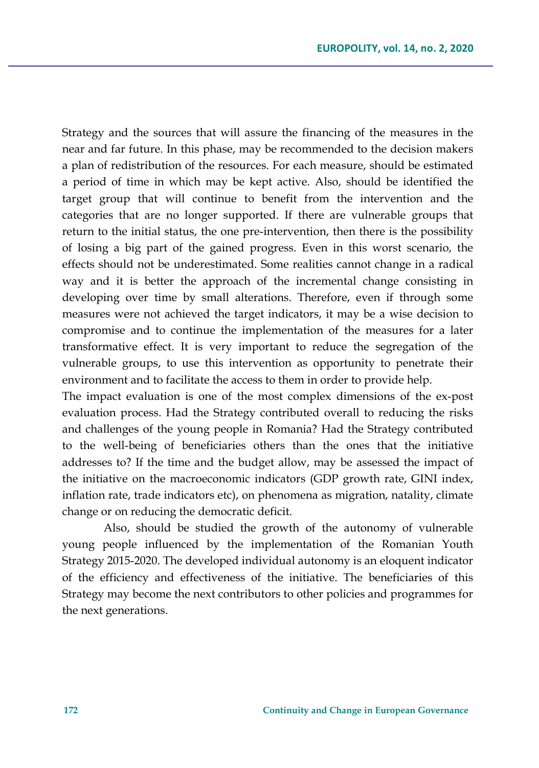Strategy and the sources that will assure the financing of the measures in the near and far future. In this phase, may be recommended to the decision makers a plan of redistribution of the resources. For each measure, should be estimated a period of time in which may be kept active. Also, should be identified the target group that will continue to benefit from the intervention and the categories that are no longer supported. If there are vulnerable groups that return to the initial status, the one pre-intervention, then there is the possibility of losing a big part of the gained progress. Even in this worst scenario, the effects should not be underestimated. Some realities cannot change in a radical way and it is better the approach of the incremental change consisting in developing over time by small alterations. Therefore, even if through some measures were not achieved the target indicators, it may be a wise decision to compromise and to continue the implementation of the measures for a later transformative effect. It is very important to reduce the segregation of the vulnerable groups, to use this intervention as opportunity to penetrate their environment and to facilitate the access to them in order to provide help.

The impact evaluation is one of the most complex dimensions of the ex-post evaluation process. Had the Strategy contributed overall to reducing the risks and challenges of the young people in Romania? Had the Strategy contributed to the well-being of beneficiaries others than the ones that the initiative addresses to? If the time and the budget allow, may be assessed the impact of the initiative on the macroeconomic indicators (GDP growth rate, GINI index, inflation rate, trade indicators etc), on phenomena as migration, natality, climate change or on reducing the democratic deficit.

Also, should be studied the growth of the autonomy of vulnerable young people influenced by the implementation of the Romanian Youth Strategy 2015-2020. The developed individual autonomy is an eloquent indicator of the efficiency and effectiveness of the initiative. The beneficiaries of this Strategy may become the next contributors to other policies and programmes for the next generations.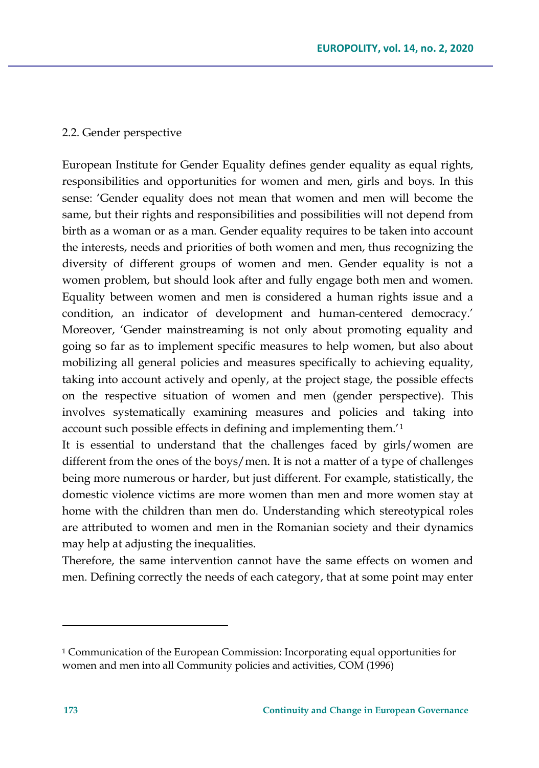### 2.2. Gender perspective

European Institute for Gender Equality defines gender equality as equal rights, responsibilities and opportunities for women and men, girls and boys. In this sense: 'Gender equality does not mean that women and men will become the same, but their rights and responsibilities and possibilities will not depend from birth as a woman or as a man. Gender equality requires to be taken into account the interests, needs and priorities of both women and men, thus recognizing the diversity of different groups of women and men. Gender equality is not a women problem, but should look after and fully engage both men and women. Equality between women and men is considered a human rights issue and a condition, an indicator of development and human-centered democracy.' Moreover, 'Gender mainstreaming is not only about promoting equality and going so far as to implement specific measures to help women, but also about mobilizing all general policies and measures specifically to achieving equality, taking into account actively and openly, at the project stage, the possible effects on the respective situation of women and men (gender perspective). This involves systematically examining measures and policies and taking into account such possible effects in defining and implementing them.'[1](#page-12-0)

It is essential to understand that the challenges faced by girls/women are different from the ones of the boys/men. It is not a matter of a type of challenges being more numerous or harder, but just different. For example, statistically, the domestic violence victims are more women than men and more women stay at home with the children than men do. Understanding which stereotypical roles are attributed to women and men in the Romanian society and their dynamics may help at adjusting the inequalities.

Therefore, the same intervention cannot have the same effects on women and men. Defining correctly the needs of each category, that at some point may enter

<span id="page-12-0"></span><sup>1</sup> Communication of the European Commission: Incorporating equal opportunities for women and men into all Community policies and activities, COM (1996)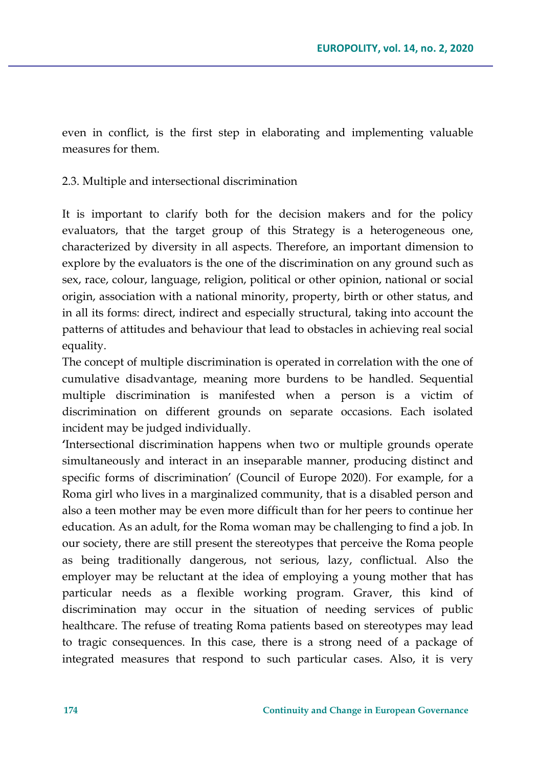even in conflict, is the first step in elaborating and implementing valuable measures for them.

2.3. Multiple and intersectional discrimination

It is important to clarify both for the decision makers and for the policy evaluators, that the target group of this Strategy is a heterogeneous one, characterized by diversity in all aspects. Therefore, an important dimension to explore by the evaluators is the one of the discrimination on any ground such as sex, race, colour, language, religion, political or other opinion, national or social origin, association with a national minority, property, birth or other status, and in all its forms: direct, indirect and especially structural, taking into account the patterns of attitudes and behaviour that lead to obstacles in achieving real social equality.

The concept of multiple discrimination is operated in correlation with the one of cumulative disadvantage, meaning more burdens to be handled. Sequential multiple discrimination is manifested when a person is a victim of discrimination on different grounds on separate occasions. Each isolated incident may be judged individually.

**'**Intersectional discrimination happens when two or multiple grounds operate simultaneously and interact in an inseparable manner, producing distinct and specific forms of discrimination' (Council of Europe 2020). For example, for a Roma girl who lives in a marginalized community, that is a disabled person and also a teen mother may be even more difficult than for her peers to continue her education. As an adult, for the Roma woman may be challenging to find a job. In our society, there are still present the stereotypes that perceive the Roma people as being traditionally dangerous, not serious, lazy, conflictual. Also the employer may be reluctant at the idea of employing a young mother that has particular needs as a flexible working program. Graver, this kind of discrimination may occur in the situation of needing services of public healthcare. The refuse of treating Roma patients based on stereotypes may lead to tragic consequences. In this case, there is a strong need of a package of integrated measures that respond to such particular cases. Also, it is very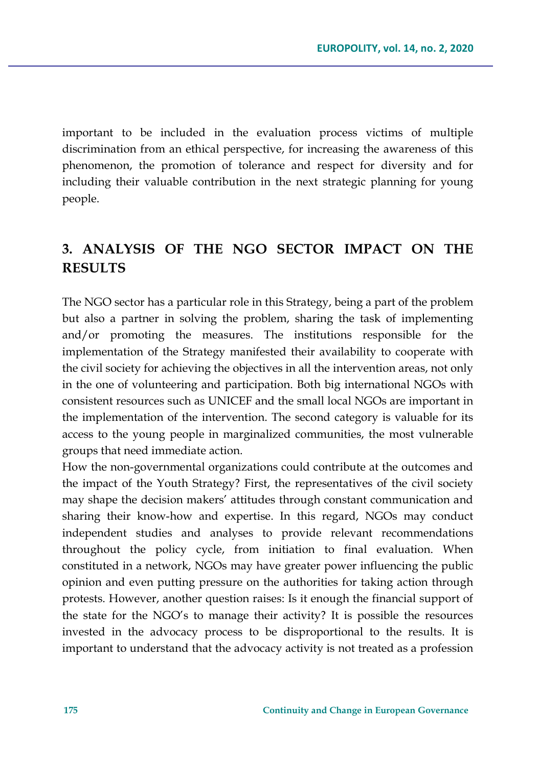important to be included in the evaluation process victims of multiple discrimination from an ethical perspective, for increasing the awareness of this phenomenon, the promotion of tolerance and respect for diversity and for including their valuable contribution in the next strategic planning for young people.

# **3. ANALYSIS OF THE NGO SECTOR IMPACT ON THE RESULTS**

The NGO sector has a particular role in this Strategy, being a part of the problem but also a partner in solving the problem, sharing the task of implementing and/or promoting the measures. The institutions responsible for the implementation of the Strategy manifested their availability to cooperate with the civil society for achieving the objectives in all the intervention areas, not only in the one of volunteering and participation. Both big international NGOs with consistent resources such as UNICEF and the small local NGOs are important in the implementation of the intervention. The second category is valuable for its access to the young people in marginalized communities, the most vulnerable groups that need immediate action.

How the non-governmental organizations could contribute at the outcomes and the impact of the Youth Strategy? First, the representatives of the civil society may shape the decision makers' attitudes through constant communication and sharing their know-how and expertise. In this regard, NGOs may conduct independent studies and analyses to provide relevant recommendations throughout the policy cycle, from initiation to final evaluation. When constituted in a network, NGOs may have greater power influencing the public opinion and even putting pressure on the authorities for taking action through protests. However, another question raises: Is it enough the financial support of the state for the NGO's to manage their activity? It is possible the resources invested in the advocacy process to be disproportional to the results. It is important to understand that the advocacy activity is not treated as a profession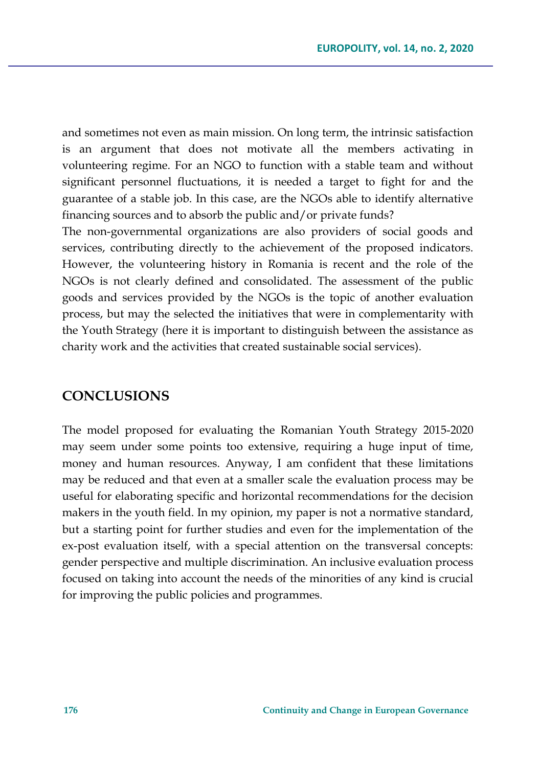and sometimes not even as main mission. On long term, the intrinsic satisfaction is an argument that does not motivate all the members activating in volunteering regime. For an NGO to function with a stable team and without significant personnel fluctuations, it is needed a target to fight for and the guarantee of a stable job. In this case, are the NGOs able to identify alternative financing sources and to absorb the public and/or private funds?

The non-governmental organizations are also providers of social goods and services, contributing directly to the achievement of the proposed indicators. However, the volunteering history in Romania is recent and the role of the NGOs is not clearly defined and consolidated. The assessment of the public goods and services provided by the NGOs is the topic of another evaluation process, but may the selected the initiatives that were in complementarity with the Youth Strategy (here it is important to distinguish between the assistance as charity work and the activities that created sustainable social services).

### **CONCLUSIONS**

The model proposed for evaluating the Romanian Youth Strategy 2015-2020 may seem under some points too extensive, requiring a huge input of time, money and human resources. Anyway, I am confident that these limitations may be reduced and that even at a smaller scale the evaluation process may be useful for elaborating specific and horizontal recommendations for the decision makers in the youth field. In my opinion, my paper is not a normative standard, but a starting point for further studies and even for the implementation of the ex-post evaluation itself, with a special attention on the transversal concepts: gender perspective and multiple discrimination. An inclusive evaluation process focused on taking into account the needs of the minorities of any kind is crucial for improving the public policies and programmes.